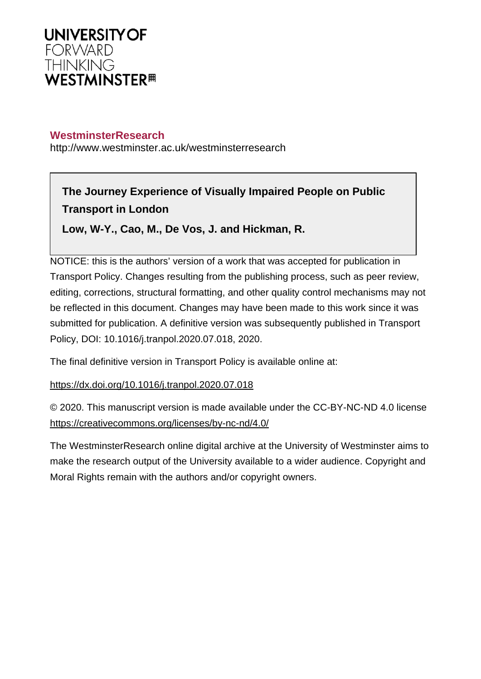

# **WestminsterResearch**

http://www.westminster.ac.uk/westminsterresearch

# **The Journey Experience of Visually Impaired People on Public Transport in London**

**Low, W-Y., Cao, M., De Vos, J. and Hickman, R.**

NOTICE: this is the authors' version of a work that was accepted for publication in Transport Policy. Changes resulting from the publishing process, such as peer review, editing, corrections, structural formatting, and other quality control mechanisms may not be reflected in this document. Changes may have been made to this work since it was submitted for publication. A definitive version was subsequently published in Transport Policy, DOI: 10.1016/j.tranpol.2020.07.018, 2020.

The final definitive version in Transport Policy is available online at:

## <https://dx.doi.org/10.1016/j.tranpol.2020.07.018>

© 2020. This manuscript version is made available under the CC-BY-NC-ND 4.0 license <https://creativecommons.org/licenses/by-nc-nd/4.0/>

The WestminsterResearch online digital archive at the University of Westminster aims to make the research output of the University available to a wider audience. Copyright and Moral Rights remain with the authors and/or copyright owners.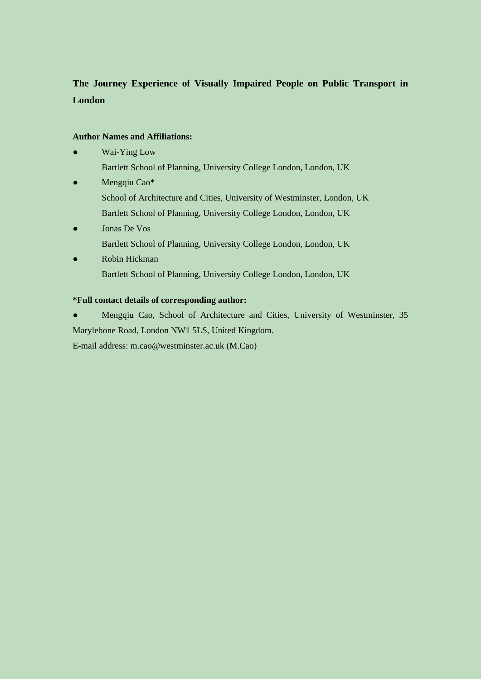# **The Journey Experience of Visually Impaired People on Public Transport in London**

### **Author Names and Affiliations:**

- Wai-Ying Low
	- Bartlett School of Planning, University College London, London, UK
- Mengqiu Cao\* School of Architecture and Cities, University of Westminster, London, UK Bartlett School of Planning, University College London, London, UK
- Jonas De Vos Bartlett School of Planning, University College London, London, UK
- Robin Hickman Bartlett School of Planning, University College London, London, UK

### **\*Full contact details of corresponding author:**

● Mengqiu Cao, School of Architecture and Cities, University of Westminster, 35 Marylebone Road, London NW1 5LS, United Kingdom.

E-mail address: m.cao@westminster.ac.uk (M.Cao)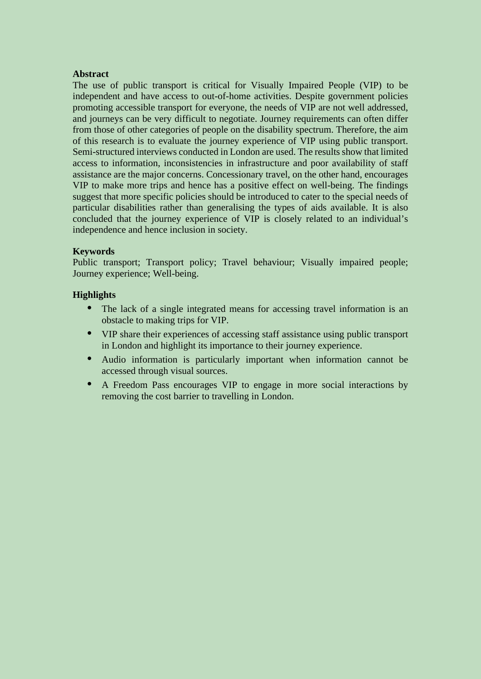### **Abstract**

The use of public transport is critical for Visually Impaired People (VIP) to be independent and have access to out-of-home activities. Despite government policies promoting accessible transport for everyone, the needs of VIP are not well addressed, and journeys can be very difficult to negotiate. Journey requirements can often differ from those of other categories of people on the disability spectrum. Therefore, the aim of this research is to evaluate the journey experience of VIP using public transport. Semi-structured interviews conducted in London are used. The results show that limited access to information, inconsistencies in infrastructure and poor availability of staff assistance are the major concerns. Concessionary travel, on the other hand, encourages VIP to make more trips and hence has a positive effect on well-being. The findings suggest that more specific policies should be introduced to cater to the special needs of particular disabilities rather than generalising the types of aids available. It is also concluded that the journey experience of VIP is closely related to an individual's independence and hence inclusion in society.

### **Keywords**

Public transport; Transport policy; Travel behaviour; Visually impaired people; Journey experience; Well-being.

### **Highlights**

- The lack of a single integrated means for accessing travel information is an obstacle to making trips for VIP.
- VIP share their experiences of accessing staff assistance using public transport in London and highlight its importance to their journey experience.
- Audio information is particularly important when information cannot be accessed through visual sources.
- A Freedom Pass encourages VIP to engage in more social interactions by removing the cost barrier to travelling in London.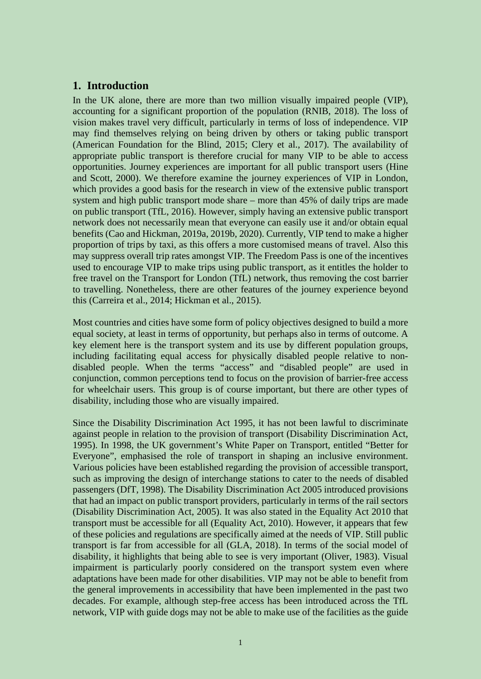## **1. Introduction**

In the UK alone, there are more than two million visually impaired people (VIP), accounting for a significant proportion of the population (RNIB, 2018). The loss of vision makes travel very difficult, particularly in terms of loss of independence. VIP may find themselves relying on being driven by others or taking public transport (American Foundation for the Blind, 2015; Clery et al., 2017). The availability of appropriate public transport is therefore crucial for many VIP to be able to access opportunities. Journey experiences are important for all public transport users (Hine and Scott, 2000). We therefore examine the journey experiences of VIP in London, which provides a good basis for the research in view of the extensive public transport system and high public transport mode share – more than 45% of daily trips are made on public transport (TfL, 2016). However, simply having an extensive public transport network does not necessarily mean that everyone can easily use it and/or obtain equal benefits (Cao and Hickman, 2019a, 2019b, 2020). Currently, VIP tend to make a higher proportion of trips by taxi, as this offers a more customised means of travel. Also this may suppress overall trip rates amongst VIP. The Freedom Pass is one of the incentives used to encourage VIP to make trips using public transport, as it entitles the holder to free travel on the Transport for London (TfL) network, thus removing the cost barrier to travelling. Nonetheless, there are other features of the journey experience beyond this (Carreira et al., 2014; Hickman et al., 2015).

Most countries and cities have some form of policy objectives designed to build a more equal society, at least in terms of opportunity, but perhaps also in terms of outcome. A key element here is the transport system and its use by different population groups, including facilitating equal access for physically disabled people relative to nondisabled people. When the terms "access" and "disabled people" are used in conjunction, common perceptions tend to focus on the provision of barrier-free access for wheelchair users. This group is of course important, but there are other types of disability, including those who are visually impaired.

Since the Disability Discrimination Act 1995, it has not been lawful to discriminate against people in relation to the provision of transport (Disability Discrimination Act, 1995). In 1998, the UK government's White Paper on Transport, entitled "Better for Everyone", emphasised the role of transport in shaping an inclusive environment. Various policies have been established regarding the provision of accessible transport, such as improving the design of interchange stations to cater to the needs of disabled passengers (DfT, 1998). The Disability Discrimination Act 2005 introduced provisions that had an impact on public transport providers, particularly in terms of the rail sectors (Disability Discrimination Act, 2005). It was also stated in the Equality Act 2010 that transport must be accessible for all (Equality Act, 2010). However, it appears that few of these policies and regulations are specifically aimed at the needs of VIP. Still public transport is far from accessible for all (GLA, 2018). In terms of the social model of disability, it highlights that being able to see is very important (Oliver, 1983). Visual impairment is particularly poorly considered on the transport system even where adaptations have been made for other disabilities. VIP may not be able to benefit from the general improvements in accessibility that have been implemented in the past two decades. For example, although step-free access has been introduced across the TfL network, VIP with guide dogs may not be able to make use of the facilities as the guide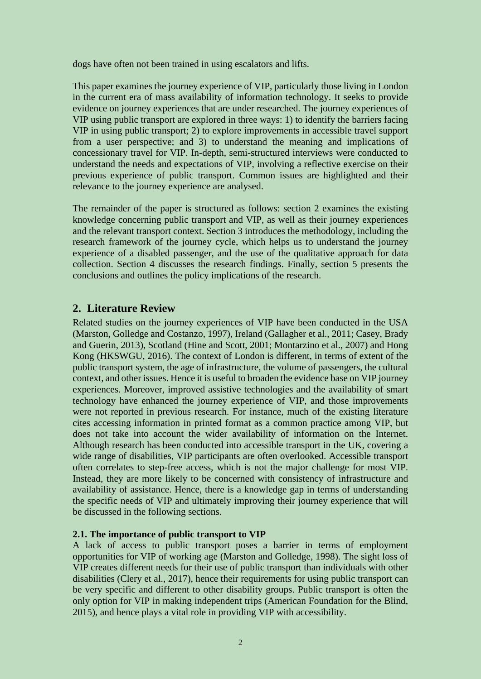dogs have often not been trained in using escalators and lifts.

This paper examines the journey experience of VIP, particularly those living in London in the current era of mass availability of information technology. It seeks to provide evidence on journey experiences that are under researched. The journey experiences of VIP using public transport are explored in three ways: 1) to identify the barriers facing VIP in using public transport; 2) to explore improvements in accessible travel support from a user perspective; and 3) to understand the meaning and implications of concessionary travel for VIP. In-depth, semi-structured interviews were conducted to understand the needs and expectations of VIP, involving a reflective exercise on their previous experience of public transport. Common issues are highlighted and their relevance to the journey experience are analysed.

The remainder of the paper is structured as follows: section 2 examines the existing knowledge concerning public transport and VIP, as well as their journey experiences and the relevant transport context. Section 3 introduces the methodology, including the research framework of the journey cycle, which helps us to understand the journey experience of a disabled passenger, and the use of the qualitative approach for data collection. Section 4 discusses the research findings. Finally, section 5 presents the conclusions and outlines the policy implications of the research.

# **2. Literature Review**

Related studies on the journey experiences of VIP have been conducted in the USA (Marston, Golledge and Costanzo, 1997), Ireland (Gallagher et al., 2011; Casey, Brady and Guerin, 2013), Scotland (Hine and Scott, 2001; Montarzino et al., 2007) and Hong Kong (HKSWGU, 2016). The context of London is different, in terms of extent of the public transport system, the age of infrastructure, the volume of passengers, the cultural context, and other issues. Hence it is useful to broaden the evidence base on VIP journey experiences. Moreover, improved assistive technologies and the availability of smart technology have enhanced the journey experience of VIP, and those improvements were not reported in previous research. For instance, much of the existing literature cites accessing information in printed format as a common practice among VIP, but does not take into account the wider availability of information on the Internet. Although research has been conducted into accessible transport in the UK, covering a wide range of disabilities, VIP participants are often overlooked. Accessible transport often correlates to step-free access, which is not the major challenge for most VIP. Instead, they are more likely to be concerned with consistency of infrastructure and availability of assistance. Hence, there is a knowledge gap in terms of understanding the specific needs of VIP and ultimately improving their journey experience that will be discussed in the following sections.

### **2.1. The importance of public transport to VIP**

A lack of access to public transport poses a barrier in terms of employment opportunities for VIP of working age (Marston and Golledge, 1998). The sight loss of VIP creates different needs for their use of public transport than individuals with other disabilities (Clery et al., 2017), hence their requirements for using public transport can be very specific and different to other disability groups. Public transport is often the only option for VIP in making independent trips (American Foundation for the Blind, 2015), and hence plays a vital role in providing VIP with accessibility.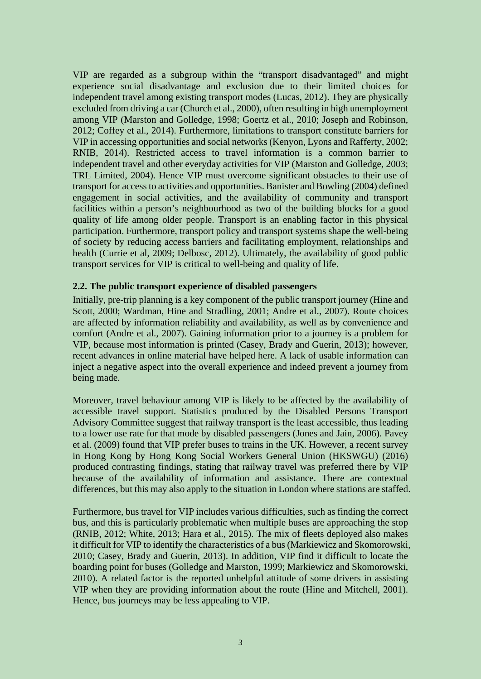VIP are regarded as a subgroup within the "transport disadvantaged" and might experience social disadvantage and exclusion due to their limited choices for independent travel among existing transport modes (Lucas, 2012). They are physically excluded from driving a car (Church et al., 2000), often resulting in high unemployment among VIP (Marston and Golledge, 1998; Goertz et al., 2010; Joseph and Robinson, 2012; Coffey et al., 2014). Furthermore, limitations to transport constitute barriers for VIP in accessing opportunities and social networks (Kenyon, Lyons and Rafferty, 2002; RNIB, 2014). Restricted access to travel information is a common barrier to independent travel and other everyday activities for VIP (Marston and Golledge, 2003; TRL Limited, 2004). Hence VIP must overcome significant obstacles to their use of transport for access to activities and opportunities. Banister and Bowling (2004) defined engagement in social activities, and the availability of community and transport facilities within a person's neighbourhood as two of the building blocks for a good quality of life among older people. Transport is an enabling factor in this physical participation. Furthermore, transport policy and transport systems shape the well-being of society by reducing access barriers and facilitating employment, relationships and health (Currie et al, 2009; Delbosc, 2012). Ultimately, the availability of good public transport services for VIP is critical to well-being and quality of life.

### **2.2. The public transport experience of disabled passengers**

Initially, pre-trip planning is a key component of the public transport journey (Hine and Scott, 2000; Wardman, Hine and Stradling, 2001; Andre et al., 2007). Route choices are affected by information reliability and availability, as well as by convenience and comfort (Andre et al., 2007). Gaining information prior to a journey is a problem for VIP, because most information is printed (Casey, Brady and Guerin, 2013); however, recent advances in online material have helped here. A lack of usable information can inject a negative aspect into the overall experience and indeed prevent a journey from being made.

Moreover, travel behaviour among VIP is likely to be affected by the availability of accessible travel support. Statistics produced by the Disabled Persons Transport Advisory Committee suggest that railway transport is the least accessible, thus leading to a lower use rate for that mode by disabled passengers (Jones and Jain, 2006). Pavey et al. (2009) found that VIP prefer buses to trains in the UK. However, a recent survey in Hong Kong by Hong Kong Social Workers General Union (HKSWGU) (2016) produced contrasting findings, stating that railway travel was preferred there by VIP because of the availability of information and assistance. There are contextual differences, but this may also apply to the situation in London where stations are staffed.

Furthermore, bus travel for VIP includes various difficulties, such as finding the correct bus, and this is particularly problematic when multiple buses are approaching the stop (RNIB, 2012; White, 2013; Hara et al., 2015). The mix of fleets deployed also makes it difficult for VIP to identify the characteristics of a bus (Markiewicz and Skomorowski, 2010; Casey, Brady and Guerin, 2013). In addition, VIP find it difficult to locate the boarding point for buses (Golledge and Marston, 1999; Markiewicz and Skomorowski, 2010). A related factor is the reported unhelpful attitude of some drivers in assisting VIP when they are providing information about the route (Hine and Mitchell, 2001). Hence, bus journeys may be less appealing to VIP.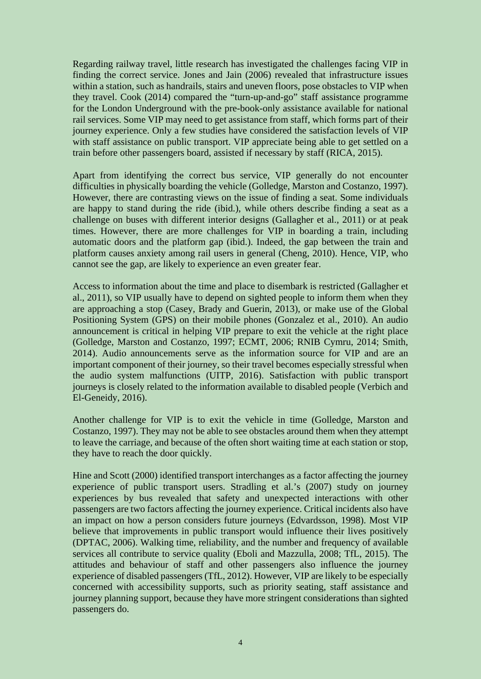Regarding railway travel, little research has investigated the challenges facing VIP in finding the correct service. Jones and Jain (2006) revealed that infrastructure issues within a station, such as handrails, stairs and uneven floors, pose obstacles to VIP when they travel. Cook (2014) compared the "turn-up-and-go" staff assistance programme for the London Underground with the pre-book-only assistance available for national rail services. Some VIP may need to get assistance from staff, which forms part of their journey experience. Only a few studies have considered the satisfaction levels of VIP with staff assistance on public transport. VIP appreciate being able to get settled on a train before other passengers board, assisted if necessary by staff (RICA, 2015).

Apart from identifying the correct bus service, VIP generally do not encounter difficulties in physically boarding the vehicle (Golledge, Marston and Costanzo, 1997). However, there are contrasting views on the issue of finding a seat. Some individuals are happy to stand during the ride (ibid.), while others describe finding a seat as a challenge on buses with different interior designs (Gallagher et al., 2011) or at peak times. However, there are more challenges for VIP in boarding a train, including automatic doors and the platform gap (ibid.). Indeed, the gap between the train and platform causes anxiety among rail users in general (Cheng, 2010). Hence, VIP, who cannot see the gap, are likely to experience an even greater fear.

Access to information about the time and place to disembark is restricted (Gallagher et al., 2011), so VIP usually have to depend on sighted people to inform them when they are approaching a stop (Casey, Brady and Guerin, 2013), or make use of the Global Positioning System (GPS) on their mobile phones (Gonzalez et al., 2010). An audio announcement is critical in helping VIP prepare to exit the vehicle at the right place (Golledge, Marston and Costanzo, 1997; ECMT, 2006; RNIB Cymru, 2014; Smith, 2014). Audio announcements serve as the information source for VIP and are an important component of their journey, so their travel becomes especially stressful when the audio system malfunctions (UITP, 2016). Satisfaction with public transport journeys is closely related to the information available to disabled people (Verbich and El-Geneidy, 2016).

Another challenge for VIP is to exit the vehicle in time (Golledge, Marston and Costanzo, 1997). They may not be able to see obstacles around them when they attempt to leave the carriage, and because of the often short waiting time at each station or stop, they have to reach the door quickly.

Hine and Scott (2000) identified transport interchanges as a factor affecting the journey experience of public transport users. Stradling et al.'s (2007) study on journey experiences by bus revealed that safety and unexpected interactions with other passengers are two factors affecting the journey experience. Critical incidents also have an impact on how a person considers future journeys (Edvardsson, 1998). Most VIP believe that improvements in public transport would influence their lives positively (DPTAC, 2006). Walking time, reliability, and the number and frequency of available services all contribute to service quality (Eboli and Mazzulla, 2008; TfL, 2015). The attitudes and behaviour of staff and other passengers also influence the journey experience of disabled passengers (TfL, 2012). However, VIP are likely to be especially concerned with accessibility supports, such as priority seating, staff assistance and journey planning support, because they have more stringent considerations than sighted passengers do.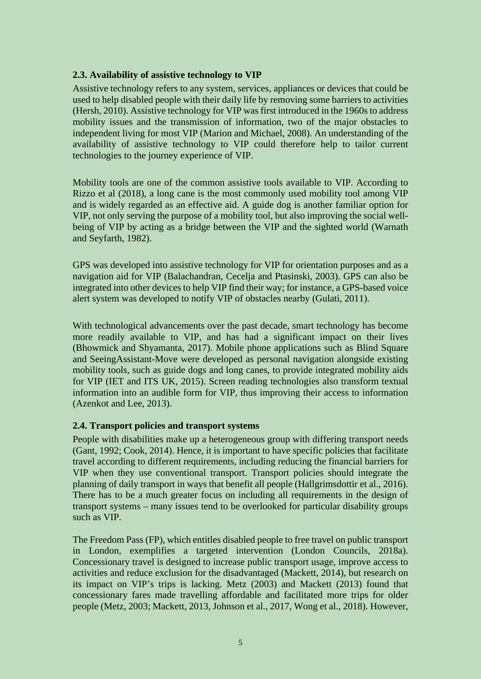### **2.3. Availability of assistive technology to VIP**

Assistive technology refers to any system, services, appliances or devices that could be used to help disabled people with their daily life by removing some barriers to activities (Hersh, 2010). Assistive technology for VIP was first introduced in the 1960s to address mobility issues and the transmission of information, two of the major obstacles to independent living for most VIP (Marion and Michael, 2008). An understanding of the availability of assistive technology to VIP could therefore help to tailor current technologies to the journey experience of VIP.

Mobility tools are one of the common assistive tools available to VIP. According to Rizzo et al (2018), a long cane is the most commonly used mobility tool among VIP and is widely regarded as an effective aid. A guide dog is another familiar option for VIP, not only serving the purpose of a mobility tool, but also improving the social wellbeing of VIP by acting as a bridge between the VIP and the sighted world (Warnath and Seyfarth, 1982).

GPS was developed into assistive technology for VIP for orientation purposes and as a navigation aid for VIP (Balachandran, Cecelja and Ptasinski, 2003). GPS can also be integrated into other devices to help VIP find their way; for instance, a GPS-based voice alert system was developed to notify VIP of obstacles nearby (Gulati, 2011).

With technological advancements over the past decade, smart technology has become more readily available to VIP, and has had a significant impact on their lives (Bhowmick and Shyamanta, 2017). Mobile phone applications such as Blind Square and SeeingAssistant-Move were developed as personal navigation alongside existing mobility tools, such as guide dogs and long canes, to provide integrated mobility aids for VIP (IET and ITS UK, 2015). Screen reading technologies also transform textual information into an audible form for VIP, thus improving their access to information (Azenkot and Lee, 2013).

## **2.4. Transport policies and transport systems**

People with disabilities make up a heterogeneous group with differing transport needs (Gant, 1992; Cook, 2014). Hence, it is important to have specific policies that facilitate travel according to different requirements, including reducing the financial barriers for VIP when they use conventional transport. Transport policies should integrate the planning of daily transport in ways that benefit all people (Hallgrimsdottir et al., 2016). There has to be a much greater focus on including all requirements in the design of transport systems – many issues tend to be overlooked for particular disability groups such as VIP.

The Freedom Pass (FP), which entitles disabled people to free travel on public transport in London, exemplifies a targeted intervention (London Councils, 2018a). Concessionary travel is designed to increase public transport usage, improve access to activities and reduce exclusion for the disadvantaged (Mackett, 2014), but research on its impact on VIP's trips is lacking. Metz (2003) and Mackett (2013) found that concessionary fares made travelling affordable and facilitated more trips for older people (Metz, 2003; Mackett, 2013, Johnson et al., 2017, Wong et al., 2018). However,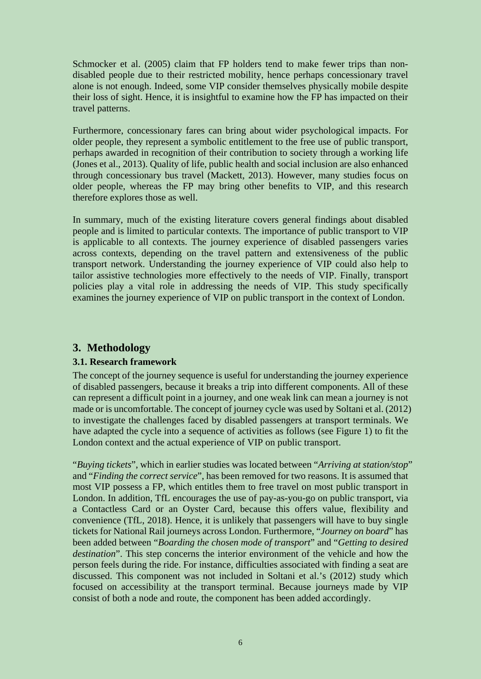Schmocker et al. (2005) claim that FP holders tend to make fewer trips than nondisabled people due to their restricted mobility, hence perhaps concessionary travel alone is not enough. Indeed, some VIP consider themselves physically mobile despite their loss of sight. Hence, it is insightful to examine how the FP has impacted on their travel patterns.

Furthermore, concessionary fares can bring about wider psychological impacts. For older people, they represent a symbolic entitlement to the free use of public transport, perhaps awarded in recognition of their contribution to society through a working life (Jones et al., 2013). Quality of life, public health and social inclusion are also enhanced through concessionary bus travel (Mackett, 2013). However, many studies focus on older people, whereas the FP may bring other benefits to VIP, and this research therefore explores those as well.

In summary, much of the existing literature covers general findings about disabled people and is limited to particular contexts. The importance of public transport to VIP is applicable to all contexts. The journey experience of disabled passengers varies across contexts, depending on the travel pattern and extensiveness of the public transport network. Understanding the journey experience of VIP could also help to tailor assistive technologies more effectively to the needs of VIP. Finally, transport policies play a vital role in addressing the needs of VIP. This study specifically examines the journey experience of VIP on public transport in the context of London.

# **3. Methodology**

### **3.1. Research framework**

The concept of the journey sequence is useful for understanding the journey experience of disabled passengers, because it breaks a trip into different components. All of these can represent a difficult point in a journey, and one weak link can mean a journey is not made or is uncomfortable. The concept of journey cycle was used by Soltani et al. (2012) to investigate the challenges faced by disabled passengers at transport terminals. We have adapted the cycle into a sequence of activities as follows (see Figure 1) to fit the London context and the actual experience of VIP on public transport.

"*Buying tickets*", which in earlier studies was located between "*Arriving at station/stop*" and "*Finding the correct service*", has been removed for two reasons. It is assumed that most VIP possess a FP, which entitles them to free travel on most public transport in London. In addition, TfL encourages the use of pay-as-you-go on public transport, via a Contactless Card or an Oyster Card, because this offers value, flexibility and convenience (TfL, 2018). Hence, it is unlikely that passengers will have to buy single tickets for National Rail journeys across London. Furthermore, "*Journey on board*" has been added between "*Boarding the chosen mode of transport*" and "*Getting to desired destination*". This step concerns the interior environment of the vehicle and how the person feels during the ride. For instance, difficulties associated with finding a seat are discussed. This component was not included in Soltani et al.'s (2012) study which focused on accessibility at the transport terminal. Because journeys made by VIP consist of both a node and route, the component has been added accordingly.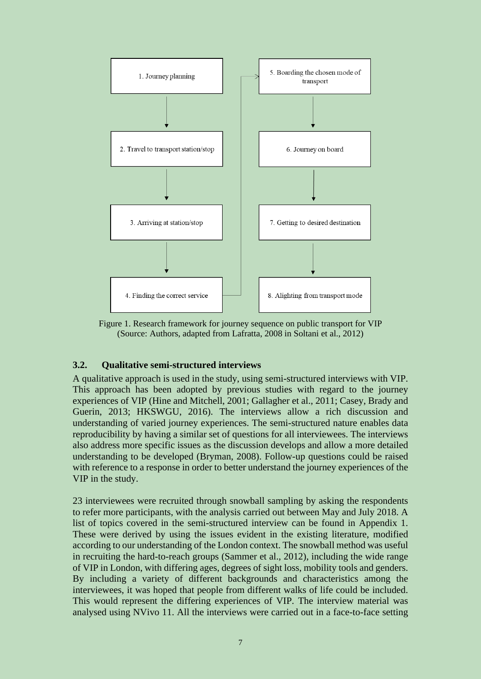

Figure 1. Research framework for journey sequence on public transport for VIP (Source: Authors, adapted from Lafratta, 2008 in Soltani et al., 2012)

### **3.2. Qualitative semi-structured interviews**

A qualitative approach is used in the study, using semi-structured interviews with VIP. This approach has been adopted by previous studies with regard to the journey experiences of VIP (Hine and Mitchell, 2001; Gallagher et al., 2011; Casey, Brady and Guerin, 2013; HKSWGU, 2016). The interviews allow a rich discussion and understanding of varied journey experiences. The semi-structured nature enables data reproducibility by having a similar set of questions for all interviewees. The interviews also address more specific issues as the discussion develops and allow a more detailed understanding to be developed (Bryman, 2008). Follow-up questions could be raised with reference to a response in order to better understand the journey experiences of the VIP in the study.

23 interviewees were recruited through snowball sampling by asking the respondents to refer more participants, with the analysis carried out between May and July 2018. A list of topics covered in the semi-structured interview can be found in Appendix 1. These were derived by using the issues evident in the existing literature, modified according to our understanding of the London context. The snowball method was useful in recruiting the hard-to-reach groups (Sammer et al., 2012), including the wide range of VIP in London, with differing ages, degrees of sight loss, mobility tools and genders. By including a variety of different backgrounds and characteristics among the interviewees, it was hoped that people from different walks of life could be included. This would represent the differing experiences of VIP. The interview material was analysed using NVivo 11. All the interviews were carried out in a face-to-face setting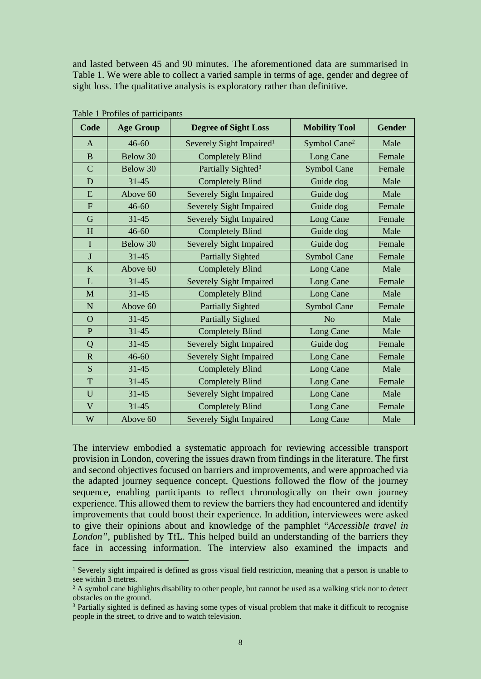and lasted between 45 and 90 minutes. The aforementioned data are summarised in Table 1. We were able to collect a varied sample in terms of age, gender and degree of sight loss. The qualitative analysis is exploratory rather than definitive.

| Code                  | <b>Age Group</b> | <b>Degree of Sight Loss</b>          | <b>Mobility Tool</b>     | <b>Gender</b> |
|-----------------------|------------------|--------------------------------------|--------------------------|---------------|
| A                     | $46 - 60$        | Severely Sight Impaired <sup>1</sup> | Symbol Cane <sup>2</sup> | Male          |
| B                     | Below 30         | <b>Completely Blind</b>              | Long Cane                | Female        |
| $\mathbf C$           | Below 30         | Partially Sighted <sup>3</sup>       | <b>Symbol Cane</b>       | Female        |
| D                     | $31 - 45$        | <b>Completely Blind</b>              | Guide dog                | Male          |
| E                     | Above 60         | Severely Sight Impaired              | Guide dog                | Male          |
| F                     | $46 - 60$        | <b>Severely Sight Impaired</b>       | Guide dog                | Female        |
| G                     | $31 - 45$        | <b>Severely Sight Impaired</b>       | Long Cane                | Female        |
| H                     | $46 - 60$        | <b>Completely Blind</b>              | Guide dog                | Male          |
| $\mathbf{I}$          | Below 30         | <b>Severely Sight Impaired</b>       | Guide dog                | Female        |
| J                     | $31 - 45$        | <b>Partially Sighted</b>             | <b>Symbol Cane</b>       | Female        |
| K                     | Above 60         | <b>Completely Blind</b>              | Long Cane                | Male          |
| L                     | $31 - 45$        | <b>Severely Sight Impaired</b>       | Long Cane                | Female        |
| M                     | $31 - 45$        | <b>Completely Blind</b>              | Long Cane                | Male          |
| N                     | Above 60         | <b>Partially Sighted</b>             | <b>Symbol Cane</b>       | Female        |
| $\overline{O}$        | $31 - 45$        | <b>Partially Sighted</b>             | N <sub>0</sub>           | Male          |
| P                     | $31 - 45$        | <b>Completely Blind</b>              | Long Cane                | Male          |
| Q                     | $31 - 45$        | <b>Severely Sight Impaired</b>       | Guide dog                | Female        |
| $\overline{\text{R}}$ | $46 - 60$        | <b>Severely Sight Impaired</b>       | Long Cane                | Female        |
| S                     | $31 - 45$        | <b>Completely Blind</b>              | Long Cane                | Male          |
| T                     | $31 - 45$        | <b>Completely Blind</b>              | Long Cane                | Female        |
| U                     | $31 - 45$        | <b>Severely Sight Impaired</b>       | Long Cane                | Male          |
| $\mathbf{V}$          | $31 - 45$        | <b>Completely Blind</b>              | Long Cane                | Female        |
| W                     | Above 60         | <b>Severely Sight Impaired</b>       | Long Cane                | Male          |

Table 1 Profiles of participants

The interview embodied a systematic approach for reviewing accessible transport provision in London, covering the issues drawn from findings in the literature. The first and second objectives focused on barriers and improvements, and were approached via the adapted journey sequence concept. Questions followed the flow of the journey sequence, enabling participants to reflect chronologically on their own journey experience. This allowed them to review the barriers they had encountered and identify improvements that could boost their experience. In addition, interviewees were asked to give their opinions about and knowledge of the pamphlet "*Accessible travel in London"*, published by TfL. This helped build an understanding of the barriers they face in accessing information. The interview also examined the impacts and

<sup>&</sup>lt;sup>1</sup> Severely sight impaired is defined as gross visual field restriction, meaning that a person is unable to see within 3 metres.

<sup>&</sup>lt;sup>2</sup> A symbol cane highlights disability to other people, but cannot be used as a walking stick nor to detect obstacles on the ground.

<sup>&</sup>lt;sup>3</sup> Partially sighted is defined as having some types of visual problem that make it difficult to recognise people in the street, to drive and to watch television.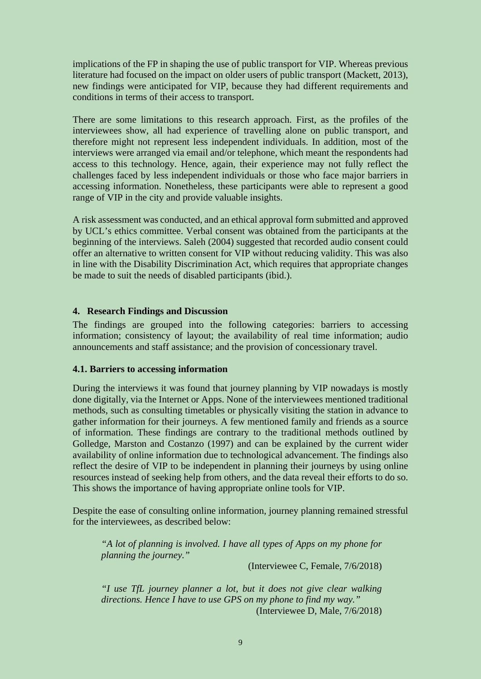implications of the FP in shaping the use of public transport for VIP. Whereas previous literature had focused on the impact on older users of public transport (Mackett, 2013), new findings were anticipated for VIP, because they had different requirements and conditions in terms of their access to transport.

There are some limitations to this research approach. First, as the profiles of the interviewees show, all had experience of travelling alone on public transport, and therefore might not represent less independent individuals. In addition, most of the interviews were arranged via email and/or telephone, which meant the respondents had access to this technology. Hence, again, their experience may not fully reflect the challenges faced by less independent individuals or those who face major barriers in accessing information. Nonetheless, these participants were able to represent a good range of VIP in the city and provide valuable insights.

A risk assessment was conducted, and an ethical approval form submitted and approved by UCL's ethics committee. Verbal consent was obtained from the participants at the beginning of the interviews. Saleh (2004) suggested that recorded audio consent could offer an alternative to written consent for VIP without reducing validity. This was also in line with the Disability Discrimination Act, which requires that appropriate changes be made to suit the needs of disabled participants (ibid.).

### **4. Research Findings and Discussion**

The findings are grouped into the following categories: barriers to accessing information; consistency of layout; the availability of real time information; audio announcements and staff assistance; and the provision of concessionary travel.

### **4.1. Barriers to accessing information**

During the interviews it was found that journey planning by VIP nowadays is mostly done digitally, via the Internet or Apps. None of the interviewees mentioned traditional methods, such as consulting timetables or physically visiting the station in advance to gather information for their journeys. A few mentioned family and friends as a source of information. These findings are contrary to the traditional methods outlined by Golledge, Marston and Costanzo (1997) and can be explained by the current wider availability of online information due to technological advancement. The findings also reflect the desire of VIP to be independent in planning their journeys by using online resources instead of seeking help from others, and the data reveal their efforts to do so. This shows the importance of having appropriate online tools for VIP.

Despite the ease of consulting online information, journey planning remained stressful for the interviewees, as described below:

*"A lot of planning is involved. I have all types of Apps on my phone for planning the journey."*

(Interviewee C, Female, 7/6/2018)

*"I use TfL journey planner a lot, but it does not give clear walking directions. Hence I have to use GPS on my phone to find my way."* (Interviewee D, Male, 7/6/2018)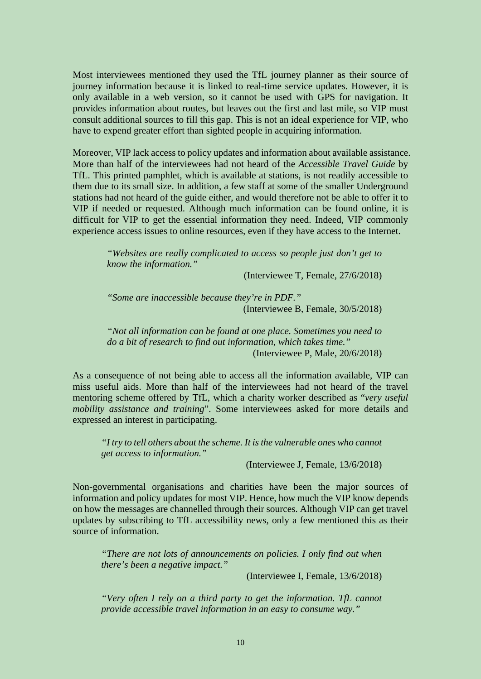Most interviewees mentioned they used the TfL journey planner as their source of journey information because it is linked to real-time service updates. However, it is only available in a web version, so it cannot be used with GPS for navigation. It provides information about routes, but leaves out the first and last mile, so VIP must consult additional sources to fill this gap. This is not an ideal experience for VIP, who have to expend greater effort than sighted people in acquiring information.

Moreover, VIP lack access to policy updates and information about available assistance. More than half of the interviewees had not heard of the *Accessible Travel Guide* by TfL. This printed pamphlet, which is available at stations, is not readily accessible to them due to its small size. In addition, a few staff at some of the smaller Underground stations had not heard of the guide either, and would therefore not be able to offer it to VIP if needed or requested. Although much information can be found online, it is difficult for VIP to get the essential information they need. Indeed, VIP commonly experience access issues to online resources, even if they have access to the Internet.

> *"Websites are really complicated to access so people just don't get to know the information."*

> > (Interviewee T, Female, 27/6/2018)

*"Some are inaccessible because they're in PDF."* (Interviewee B, Female, 30/5/2018)

*"Not all information can be found at one place. Sometimes you need to do a bit of research to find out information, which takes time."* (Interviewee P, Male, 20/6/2018)

As a consequence of not being able to access all the information available, VIP can miss useful aids. More than half of the interviewees had not heard of the travel mentoring scheme offered by TfL, which a charity worker described as "*very useful mobility assistance and training*". Some interviewees asked for more details and expressed an interest in participating.

*"I try to tell others about the scheme. It is the vulnerable ones who cannot get access to information."*

(Interviewee J, Female, 13/6/2018)

Non-governmental organisations and charities have been the major sources of information and policy updates for most VIP. Hence, how much the VIP know depends on how the messages are channelled through their sources. Although VIP can get travel updates by subscribing to TfL accessibility news, only a few mentioned this as their source of information.

*"There are not lots of announcements on policies. I only find out when there's been a negative impact."*

(Interviewee I, Female, 13/6/2018)

*"Very often I rely on a third party to get the information. TfL cannot provide accessible travel information in an easy to consume way."*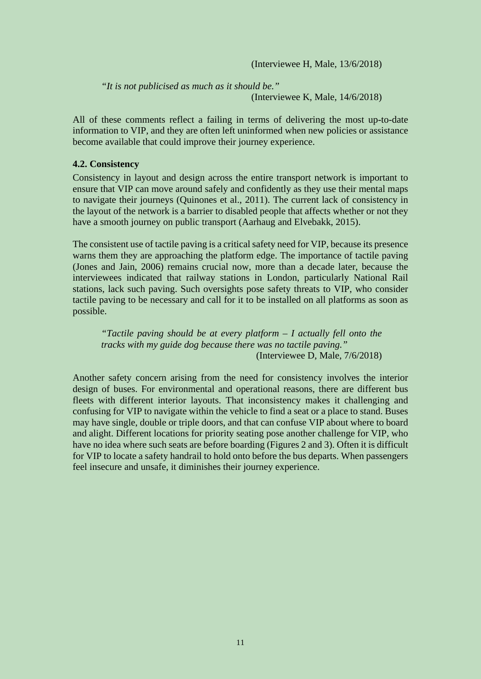(Interviewee H, Male, 13/6/2018)

*"It is not publicised as much as it should be."* (Interviewee K, Male, 14/6/2018)

All of these comments reflect a failing in terms of delivering the most up-to-date information to VIP, and they are often left uninformed when new policies or assistance become available that could improve their journey experience.

### **4.2. Consistency**

Consistency in layout and design across the entire transport network is important to ensure that VIP can move around safely and confidently as they use their mental maps to navigate their journeys (Quinones et al., 2011). The current lack of consistency in the layout of the network is a barrier to disabled people that affects whether or not they have a smooth journey on public transport (Aarhaug and Elvebakk, 2015).

The consistent use of tactile paving is a critical safety need for VIP, because its presence warns them they are approaching the platform edge. The importance of tactile paving (Jones and Jain, 2006) remains crucial now, more than a decade later, because the interviewees indicated that railway stations in London, particularly National Rail stations, lack such paving. Such oversights pose safety threats to VIP, who consider tactile paving to be necessary and call for it to be installed on all platforms as soon as possible.

*"Tactile paving should be at every platform – I actually fell onto the tracks with my guide dog because there was no tactile paving."* (Interviewee D, Male, 7/6/2018)

Another safety concern arising from the need for consistency involves the interior design of buses. For environmental and operational reasons, there are different bus fleets with different interior layouts. That inconsistency makes it challenging and confusing for VIP to navigate within the vehicle to find a seat or a place to stand. Buses may have single, double or triple doors, and that can confuse VIP about where to board and alight. Different locations for priority seating pose another challenge for VIP, who have no idea where such seats are before boarding (Figures 2 and 3). Often it is difficult for VIP to locate a safety handrail to hold onto before the bus departs. When passengers feel insecure and unsafe, it diminishes their journey experience.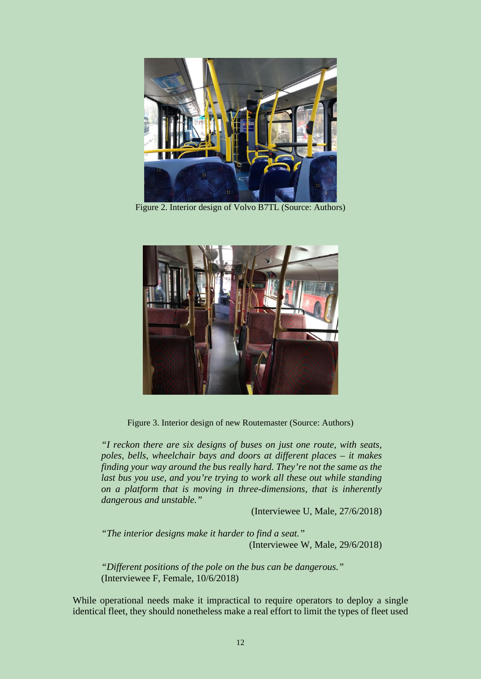

Figure 2. Interior design of Volvo B7TL (Source: Authors)



Figure 3. Interior design of new Routemaster (Source: Authors)

*"I reckon there are six designs of buses on just one route, with seats, poles, bells, wheelchair bays and doors at different places – it makes finding your way around the bus really hard. They're not the same as the last bus you use, and you're trying to work all these out while standing on a platform that is moving in three-dimensions, that is inherently dangerous and unstable."*

(Interviewee U, Male, 27/6/2018)

*"The interior designs make it harder to find a seat."* (Interviewee W, Male, 29/6/2018)

*"Different positions of the pole on the bus can be dangerous."* (Interviewee F, Female, 10/6/2018)

While operational needs make it impractical to require operators to deploy a single identical fleet, they should nonetheless make a real effort to limit the types of fleet used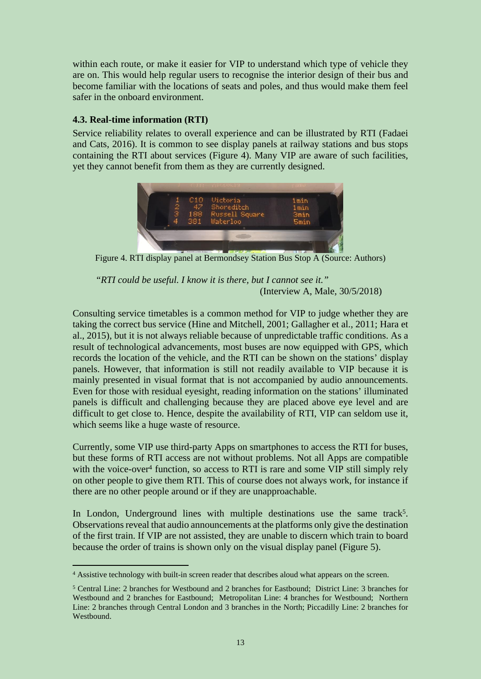within each route, or make it easier for VIP to understand which type of vehicle they are on. This would help regular users to recognise the interior design of their bus and become familiar with the locations of seats and poles, and thus would make them feel safer in the onboard environment.

## **4.3. Real-time information (RTI)**

Service reliability relates to overall experience and can be illustrated by RTI (Fadaei and Cats, 2016). It is common to see display panels at railway stations and bus stops containing the RTI about services (Figure 4). Many VIP are aware of such facilities, yet they cannot benefit from them as they are currently designed.



Figure 4. RTI display panel at Bermondsey Station Bus Stop A (Source: Authors)

*"RTI could be useful. I know it is there, but I cannot see it."* (Interview A, Male, 30/5/2018)

Consulting service timetables is a common method for VIP to judge whether they are taking the correct bus service (Hine and Mitchell, 2001; Gallagher et al., 2011; Hara et al., 2015), but it is not always reliable because of unpredictable traffic conditions. As a result of technological advancements, most buses are now equipped with GPS, which records the location of the vehicle, and the RTI can be shown on the stations' display panels. However, that information is still not readily available to VIP because it is mainly presented in visual format that is not accompanied by audio announcements. Even for those with residual eyesight, reading information on the stations' illuminated panels is difficult and challenging because they are placed above eye level and are difficult to get close to. Hence, despite the availability of RTI, VIP can seldom use it, which seems like a huge waste of resource.

Currently, some VIP use third-party Apps on smartphones to access the RTI for buses, but these forms of RTI access are not without problems. Not all Apps are compatible with the voice-over<sup>4</sup> function, so access to RTI is rare and some VIP still simply rely on other people to give them RTI. This of course does not always work, for instance if there are no other people around or if they are unapproachable.

In London, Underground lines with multiple destinations use the same track<sup>5</sup>. Observations reveal that audio announcements at the platforms only give the destination of the first train. If VIP are not assisted, they are unable to discern which train to board because the order of trains is shown only on the visual display panel (Figure 5).

<sup>4</sup> Assistive technology with built-in screen reader that describes aloud what appears on the screen.

<sup>5</sup> Central Line: 2 branches for Westbound and 2 branches for Eastbound; District Line: 3 branches for Westbound and 2 branches for Eastbound; Metropolitan Line: 4 branches for Westbound; Northern Line: 2 branches through Central London and 3 branches in the North; Piccadilly Line: 2 branches for Westbound.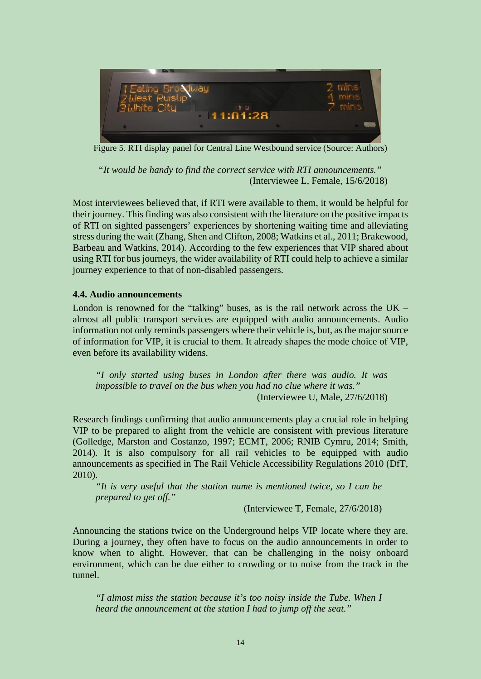

Figure 5. RTI display panel for Central Line Westbound service (Source: Authors)

 *"It would be handy to find the correct service with RTI announcements."* (Interviewee L, Female, 15/6/2018)

Most interviewees believed that, if RTI were available to them, it would be helpful for their journey. This finding was also consistent with the literature on the positive impacts of RTI on sighted passengers' experiences by shortening waiting time and alleviating stress during the wait (Zhang, Shen and Clifton, 2008; Watkins et al., 2011; Brakewood, Barbeau and Watkins, 2014). According to the few experiences that VIP shared about using RTI for bus journeys, the wider availability of RTI could help to achieve a similar journey experience to that of non-disabled passengers.

### **4.4. Audio announcements**

London is renowned for the "talking" buses, as is the rail network across the  $UK$ almost all public transport services are equipped with audio announcements. Audio information not only reminds passengers where their vehicle is, but, as the major source of information for VIP, it is crucial to them. It already shapes the mode choice of VIP, even before its availability widens.

*"I only started using buses in London after there was audio. It was impossible to travel on the bus when you had no clue where it was."* (Interviewee U, Male, 27/6/2018)

Research findings confirming that audio announcements play a crucial role in helping VIP to be prepared to alight from the vehicle are consistent with previous literature (Golledge, Marston and Costanzo, 1997; ECMT, 2006; RNIB Cymru, 2014; Smith, 2014). It is also compulsory for all rail vehicles to be equipped with audio announcements as specified in The Rail Vehicle Accessibility Regulations 2010 (DfT, 2010).

*"It is very useful that the station name is mentioned twice, so I can be prepared to get off."*

(Interviewee T, Female, 27/6/2018)

Announcing the stations twice on the Underground helps VIP locate where they are. During a journey, they often have to focus on the audio announcements in order to know when to alight. However, that can be challenging in the noisy onboard environment, which can be due either to crowding or to noise from the track in the tunnel.

*"I almost miss the station because it's too noisy inside the Tube. When I heard the announcement at the station I had to jump off the seat."*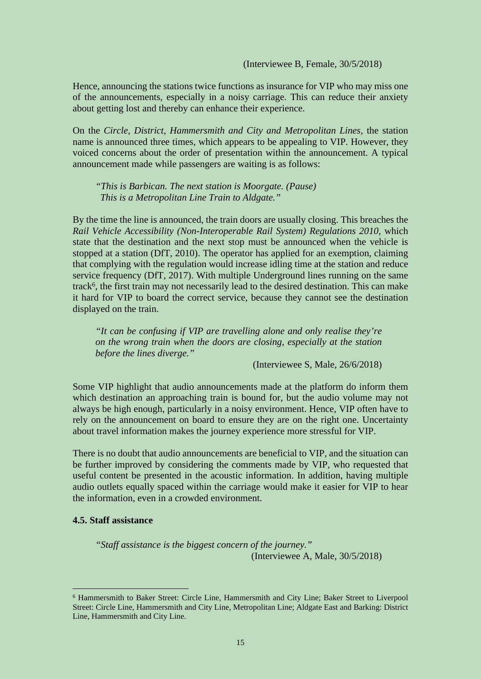(Interviewee B, Female, 30/5/2018)

Hence, announcing the stations twice functions as insurance for VIP who may miss one of the announcements, especially in a noisy carriage. This can reduce their anxiety about getting lost and thereby can enhance their experience.

On the *Circle, District, Hammersmith and City and Metropolitan Lines*, the station name is announced three times, which appears to be appealing to VIP. However, they voiced concerns about the order of presentation within the announcement. A typical announcement made while passengers are waiting is as follows:

*"This is Barbican. The next station is Moorgate. (Pause) This is a Metropolitan Line Train to Aldgate."*

By the time the line is announced, the train doors are usually closing. This breaches the *Rail Vehicle Accessibility (Non-Interoperable Rail System) Regulations 2010,* which state that the destination and the next stop must be announced when the vehicle is stopped at a station (DfT, 2010). The operator has applied for an exemption, claiming that complying with the regulation would increase idling time at the station and reduce service frequency (DfT, 2017). With multiple Underground lines running on the same track<sup>6</sup>, the first train may not necessarily lead to the desired destination. This can make it hard for VIP to board the correct service, because they cannot see the destination displayed on the train.

*"It can be confusing if VIP are travelling alone and only realise they're on the wrong train when the doors are closing, especially at the station before the lines diverge."*

(Interviewee S, Male, 26/6/2018)

Some VIP highlight that audio announcements made at the platform do inform them which destination an approaching train is bound for, but the audio volume may not always be high enough, particularly in a noisy environment. Hence, VIP often have to rely on the announcement on board to ensure they are on the right one. Uncertainty about travel information makes the journey experience more stressful for VIP.

There is no doubt that audio announcements are beneficial to VIP, and the situation can be further improved by considering the comments made by VIP, who requested that useful content be presented in the acoustic information. In addition, having multiple audio outlets equally spaced within the carriage would make it easier for VIP to hear the information, even in a crowded environment.

### **4.5. Staff assistance**

*"Staff assistance is the biggest concern of the journey."* (Interviewee A, Male, 30/5/2018)

<sup>6</sup> Hammersmith to Baker Street: Circle Line, Hammersmith and City Line; Baker Street to Liverpool Street: Circle Line, Hammersmith and City Line, Metropolitan Line; Aldgate East and Barking: District Line, Hammersmith and City Line.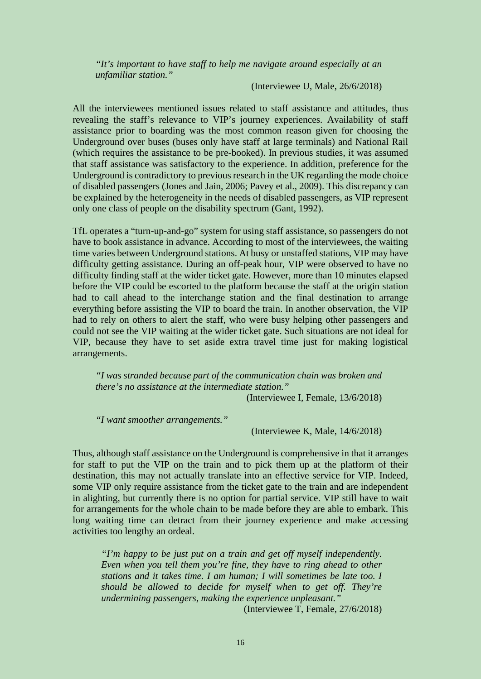*"It's important to have staff to help me navigate around especially at an unfamiliar station."*

(Interviewee U, Male, 26/6/2018)

All the interviewees mentioned issues related to staff assistance and attitudes, thus revealing the staff's relevance to VIP's journey experiences. Availability of staff assistance prior to boarding was the most common reason given for choosing the Underground over buses (buses only have staff at large terminals) and National Rail (which requires the assistance to be pre-booked). In previous studies, it was assumed that staff assistance was satisfactory to the experience. In addition, preference for the Underground is contradictory to previous research in the UK regarding the mode choice of disabled passengers (Jones and Jain, 2006; Pavey et al., 2009). This discrepancy can be explained by the heterogeneity in the needs of disabled passengers, as VIP represent only one class of people on the disability spectrum (Gant, 1992).

TfL operates a "turn-up-and-go" system for using staff assistance, so passengers do not have to book assistance in advance. According to most of the interviewees, the waiting time varies between Underground stations. At busy or unstaffed stations, VIP may have difficulty getting assistance. During an off-peak hour, VIP were observed to have no difficulty finding staff at the wider ticket gate. However, more than 10 minutes elapsed before the VIP could be escorted to the platform because the staff at the origin station had to call ahead to the interchange station and the final destination to arrange everything before assisting the VIP to board the train. In another observation, the VIP had to rely on others to alert the staff, who were busy helping other passengers and could not see the VIP waiting at the wider ticket gate. Such situations are not ideal for VIP, because they have to set aside extra travel time just for making logistical arrangements.

*"I was stranded because part of the communication chain was broken and there's no assistance at the intermediate station."*

(Interviewee I, Female, 13/6/2018)

*"I want smoother arrangements."*

(Interviewee K, Male, 14/6/2018)

Thus, although staff assistance on the Underground is comprehensive in that it arranges for staff to put the VIP on the train and to pick them up at the platform of their destination, this may not actually translate into an effective service for VIP. Indeed, some VIP only require assistance from the ticket gate to the train and are independent in alighting, but currently there is no option for partial service. VIP still have to wait for arrangements for the whole chain to be made before they are able to embark. This long waiting time can detract from their journey experience and make accessing activities too lengthy an ordeal.

*"I'm happy to be just put on a train and get off myself independently. Even when you tell them you're fine, they have to ring ahead to other stations and it takes time. I am human; I will sometimes be late too. I should be allowed to decide for myself when to get off. They're undermining passengers, making the experience unpleasant."*

(Interviewee T, Female, 27/6/2018)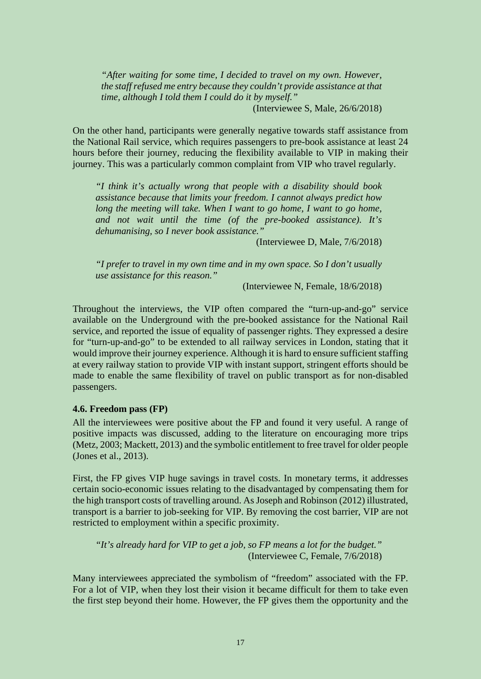*"After waiting for some time, I decided to travel on my own. However, the staff refused me entry because they couldn't provide assistance at that time, although I told them I could do it by myself."*

(Interviewee S, Male, 26/6/2018)

On the other hand, participants were generally negative towards staff assistance from the National Rail service, which requires passengers to pre-book assistance at least 24 hours before their journey, reducing the flexibility available to VIP in making their journey. This was a particularly common complaint from VIP who travel regularly.

*"I think it's actually wrong that people with a disability should book assistance because that limits your freedom. I cannot always predict how long the meeting will take. When I want to go home, I want to go home, and not wait until the time (of the pre-booked assistance). It's dehumanising, so I never book assistance."*

(Interviewee D, Male, 7/6/2018)

*"I prefer to travel in my own time and in my own space. So I don't usually use assistance for this reason."*

(Interviewee N, Female, 18/6/2018)

Throughout the interviews, the VIP often compared the "turn-up-and-go" service available on the Underground with the pre-booked assistance for the National Rail service, and reported the issue of equality of passenger rights. They expressed a desire for "turn-up-and-go" to be extended to all railway services in London, stating that it would improve their journey experience. Although it is hard to ensure sufficient staffing at every railway station to provide VIP with instant support, stringent efforts should be made to enable the same flexibility of travel on public transport as for non-disabled passengers.

#### **4.6. Freedom pass (FP)**

All the interviewees were positive about the FP and found it very useful. A range of positive impacts was discussed, adding to the literature on encouraging more trips (Metz, 2003; Mackett, 2013) and the symbolic entitlement to free travel for older people (Jones et al., 2013).

First, the FP gives VIP huge savings in travel costs. In monetary terms, it addresses certain socio-economic issues relating to the disadvantaged by compensating them for the high transport costs of travelling around. As Joseph and Robinson (2012) illustrated, transport is a barrier to job-seeking for VIP. By removing the cost barrier, VIP are not restricted to employment within a specific proximity.

*"It's already hard for VIP to get a job, so FP means a lot for the budget."* (Interviewee C, Female, 7/6/2018)

Many interviewees appreciated the symbolism of "freedom" associated with the FP. For a lot of VIP, when they lost their vision it became difficult for them to take even the first step beyond their home. However, the FP gives them the opportunity and the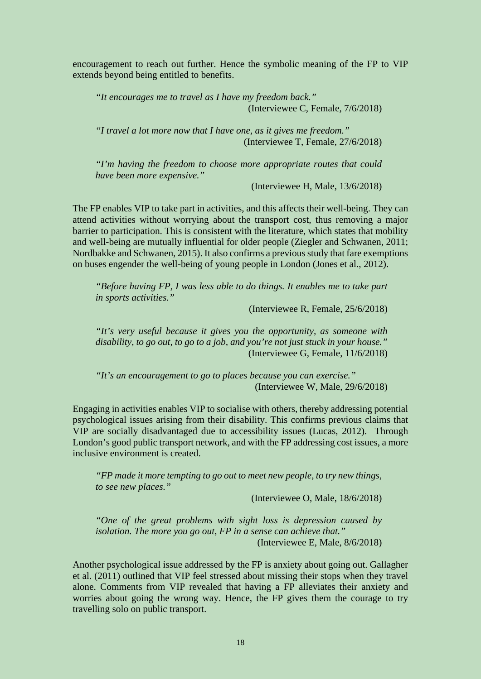encouragement to reach out further. Hence the symbolic meaning of the FP to VIP extends beyond being entitled to benefits.

*"It encourages me to travel as I have my freedom back."*  (Interviewee C, Female, 7/6/2018)

*"I travel a lot more now that I have one, as it gives me freedom."*  (Interviewee T, Female, 27/6/2018)

*"I'm having the freedom to choose more appropriate routes that could have been more expensive."* 

(Interviewee H, Male, 13/6/2018)

The FP enables VIP to take part in activities, and this affects their well-being. They can attend activities without worrying about the transport cost, thus removing a major barrier to participation. This is consistent with the literature, which states that mobility and well-being are mutually influential for older people (Ziegler and Schwanen, 2011; Nordbakke and Schwanen, 2015). It also confirms a previous study that fare exemptions on buses engender the well-being of young people in London (Jones et al., 2012).

*"Before having FP, I was less able to do things. It enables me to take part in sports activities."*

(Interviewee R, Female, 25/6/2018)

*"It's very useful because it gives you the opportunity, as someone with disability, to go out, to go to a job, and you're not just stuck in your house."* (Interviewee G, Female, 11/6/2018)

*"It's an encouragement to go to places because you can exercise."* (Interviewee W, Male, 29/6/2018)

Engaging in activities enables VIP to socialise with others, thereby addressing potential psychological issues arising from their disability. This confirms previous claims that VIP are socially disadvantaged due to accessibility issues (Lucas, 2012). Through London's good public transport network, and with the FP addressing cost issues, a more inclusive environment is created.

*"FP made it more tempting to go out to meet new people, to try new things, to see new places."*

(Interviewee O, Male, 18/6/2018)

*"One of the great problems with sight loss is depression caused by isolation. The more you go out, FP in a sense can achieve that."* (Interviewee E, Male, 8/6/2018)

Another psychological issue addressed by the FP is anxiety about going out. Gallagher et al. (2011) outlined that VIP feel stressed about missing their stops when they travel alone. Comments from VIP revealed that having a FP alleviates their anxiety and worries about going the wrong way. Hence, the FP gives them the courage to try travelling solo on public transport.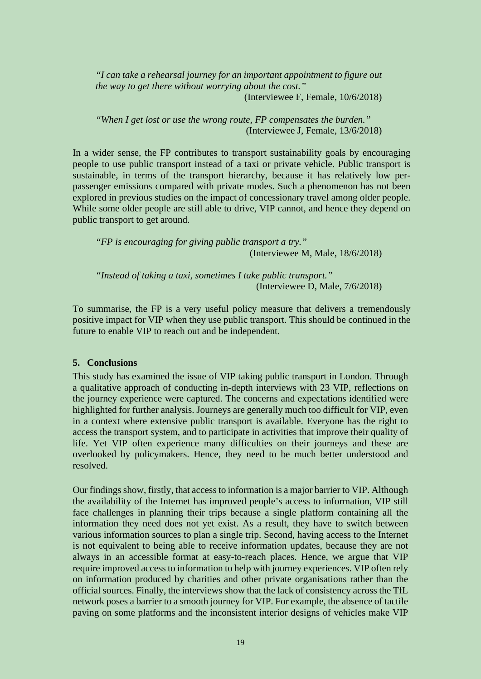*"I can take a rehearsal journey for an important appointment to figure out the way to get there without worrying about the cost."* (Interviewee F, Female, 10/6/2018)

*"When I get lost or use the wrong route, FP compensates the burden."* (Interviewee J, Female, 13/6/2018)

In a wider sense, the FP contributes to transport sustainability goals by encouraging people to use public transport instead of a taxi or private vehicle. Public transport is sustainable, in terms of the transport hierarchy, because it has relatively low perpassenger emissions compared with private modes. Such a phenomenon has not been explored in previous studies on the impact of concessionary travel among older people. While some older people are still able to drive. VIP cannot, and hence they depend on public transport to get around.

*"FP is encouraging for giving public transport a try."* (Interviewee M, Male, 18/6/2018)

*"Instead of taking a taxi, sometimes I take public transport."* (Interviewee D, Male, 7/6/2018)

To summarise, the FP is a very useful policy measure that delivers a tremendously positive impact for VIP when they use public transport. This should be continued in the future to enable VIP to reach out and be independent.

### **5. Conclusions**

This study has examined the issue of VIP taking public transport in London. Through a qualitative approach of conducting in-depth interviews with 23 VIP, reflections on the journey experience were captured. The concerns and expectations identified were highlighted for further analysis. Journeys are generally much too difficult for VIP, even in a context where extensive public transport is available. Everyone has the right to access the transport system, and to participate in activities that improve their quality of life. Yet VIP often experience many difficulties on their journeys and these are overlooked by policymakers. Hence, they need to be much better understood and resolved.

Our findings show, firstly, that access to information is a major barrier to VIP. Although the availability of the Internet has improved people's access to information, VIP still face challenges in planning their trips because a single platform containing all the information they need does not yet exist. As a result, they have to switch between various information sources to plan a single trip. Second, having access to the Internet is not equivalent to being able to receive information updates, because they are not always in an accessible format at easy-to-reach places. Hence, we argue that VIP require improved access to information to help with journey experiences. VIP often rely on information produced by charities and other private organisations rather than the official sources. Finally, the interviews show that the lack of consistency across the TfL network poses a barrier to a smooth journey for VIP. For example, the absence of tactile paving on some platforms and the inconsistent interior designs of vehicles make VIP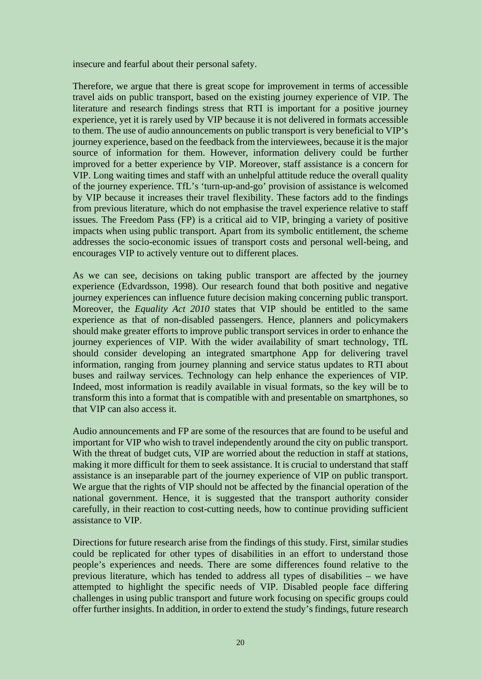insecure and fearful about their personal safety.

Therefore, we argue that there is great scope for improvement in terms of accessible travel aids on public transport, based on the existing journey experience of VIP. The literature and research findings stress that RTI is important for a positive journey experience, yet it is rarely used by VIP because it is not delivered in formats accessible to them. The use of audio announcements on public transport is very beneficial to VIP's journey experience, based on the feedback from the interviewees, because it is the major source of information for them. However, information delivery could be further improved for a better experience by VIP. Moreover, staff assistance is a concern for VIP. Long waiting times and staff with an unhelpful attitude reduce the overall quality of the journey experience. TfL's 'turn-up-and-go' provision of assistance is welcomed by VIP because it increases their travel flexibility. These factors add to the findings from previous literature, which do not emphasise the travel experience relative to staff issues. The Freedom Pass (FP) is a critical aid to VIP, bringing a variety of positive impacts when using public transport. Apart from its symbolic entitlement, the scheme addresses the socio-economic issues of transport costs and personal well-being, and encourages VIP to actively venture out to different places.

As we can see, decisions on taking public transport are affected by the journey experience (Edvardsson, 1998). Our research found that both positive and negative journey experiences can influence future decision making concerning public transport. Moreover, the *Equality Act 2010* states that VIP should be entitled to the same experience as that of non-disabled passengers. Hence, planners and policymakers should make greater efforts to improve public transport services in order to enhance the journey experiences of VIP. With the wider availability of smart technology, TfL should consider developing an integrated smartphone App for delivering travel information, ranging from journey planning and service status updates to RTI about buses and railway services. Technology can help enhance the experiences of VIP. Indeed, most information is readily available in visual formats, so the key will be to transform this into a format that is compatible with and presentable on smartphones, so that VIP can also access it.

Audio announcements and FP are some of the resources that are found to be useful and important for VIP who wish to travel independently around the city on public transport. With the threat of budget cuts, VIP are worried about the reduction in staff at stations, making it more difficult for them to seek assistance. It is crucial to understand that staff assistance is an inseparable part of the journey experience of VIP on public transport. We argue that the rights of VIP should not be affected by the financial operation of the national government. Hence, it is suggested that the transport authority consider carefully, in their reaction to cost-cutting needs, how to continue providing sufficient assistance to VIP.

Directions for future research arise from the findings of this study. First, similar studies could be replicated for other types of disabilities in an effort to understand those people's experiences and needs. There are some differences found relative to the previous literature, which has tended to address all types of disabilities – we have attempted to highlight the specific needs of VIP. Disabled people face differing challenges in using public transport and future work focusing on specific groups could offer further insights. In addition, in order to extend the study's findings, future research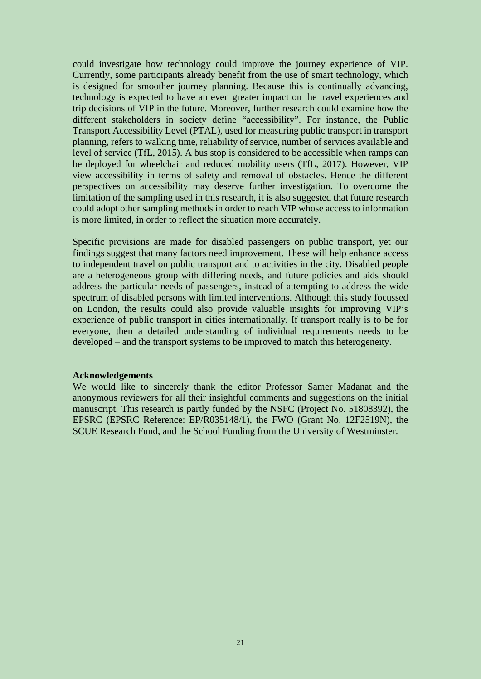could investigate how technology could improve the journey experience of VIP. Currently, some participants already benefit from the use of smart technology, which is designed for smoother journey planning. Because this is continually advancing, technology is expected to have an even greater impact on the travel experiences and trip decisions of VIP in the future. Moreover, further research could examine how the different stakeholders in society define "accessibility". For instance, the Public Transport Accessibility Level (PTAL), used for measuring public transport in transport planning, refers to walking time, reliability of service, number of services available and level of service (TfL, 2015). A bus stop is considered to be accessible when ramps can be deployed for wheelchair and reduced mobility users (TfL, 2017). However, VIP view accessibility in terms of safety and removal of obstacles. Hence the different perspectives on accessibility may deserve further investigation. To overcome the limitation of the sampling used in this research, it is also suggested that future research could adopt other sampling methods in order to reach VIP whose access to information is more limited, in order to reflect the situation more accurately.

Specific provisions are made for disabled passengers on public transport, yet our findings suggest that many factors need improvement. These will help enhance access to independent travel on public transport and to activities in the city. Disabled people are a heterogeneous group with differing needs, and future policies and aids should address the particular needs of passengers, instead of attempting to address the wide spectrum of disabled persons with limited interventions. Although this study focussed on London, the results could also provide valuable insights for improving VIP's experience of public transport in cities internationally. If transport really is to be for everyone, then a detailed understanding of individual requirements needs to be developed – and the transport systems to be improved to match this heterogeneity.

#### **Acknowledgements**

We would like to sincerely thank the editor Professor Samer Madanat and the anonymous reviewers for all their insightful comments and suggestions on the initial manuscript. This research is partly funded by the NSFC (Project No. 51808392), the EPSRC (EPSRC Reference: EP/R035148/1), the FWO (Grant No. 12F2519N), the SCUE Research Fund, and the School Funding from the University of Westminster.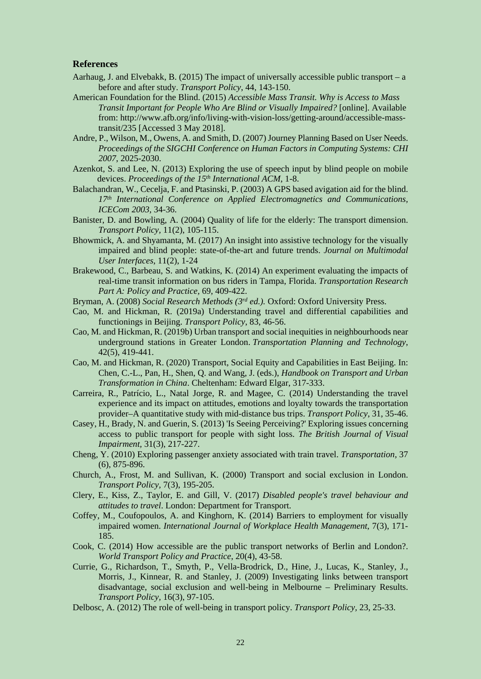#### **References**

- Aarhaug, J. and Elvebakk, B. (2015) The impact of universally accessible public transport a before and after study. *Transport Policy*, 44, 143-150.
- American Foundation for the Blind. (2015) *Accessible Mass Transit. Why is Access to Mass Transit Important for People Who Are Blind or Visually Impaired?* [online]. Available from: [http://www.afb.org/info/living-with-vision-loss/getting-around/accessible-mass](http://www.afb.org/info/living-with-vision-loss/getting-around/accessible-mass-transit/235)[transit/235](http://www.afb.org/info/living-with-vision-loss/getting-around/accessible-mass-transit/235) [Accessed 3 May 2018].
- Andre, P., Wilson, M., Owens, A. and Smith, D. (2007) Journey Planning Based on User Needs. *Proceedings of the SIGCHI Conference on Human Factors in Computing Systems: CHI 2007*, 2025-2030.
- Azenkot, S. and Lee, N. (2013) Exploring the use of speech input by blind people on mobile devices. *Proceedings of the 15th International ACM*, 1-8.
- Balachandran, W., Cecelja, F. and Ptasinski, P. (2003) A GPS based avigation aid for the blind. *17th International Conference on Applied Electromagnetics and Communications, ICECom 2003,* 34-36.
- Banister, D. and Bowling, A. (2004) Quality of life for the elderly: The transport dimension. *Transport Policy,* 11(2), 105-115.
- Bhowmick, A. and Shyamanta, M. (2017) An insight into assistive technology for the visually impaired and blind people: state-of-the-art and future trends. *Journal on Multimodal User Interfaces*, 11(2), 1-24
- Brakewood, C., Barbeau, S. and Watkins, K. (2014) An experiment evaluating the impacts of real-time transit information on bus riders in Tampa, Florida. *Transportation Research Part A: Policy and Practice,* 69, 409-422.
- Bryman, A. (2008) *Social Research Methods (3rd ed.).* Oxford: Oxford University Press.
- Cao, M. and Hickman, R. (2019a) Understanding travel and differential capabilities and functionings in Beijing. *Transport Policy*, 83, 46-56.
- Cao, M. and Hickman, R. (2019b) Urban transport and social inequities in neighbourhoods near underground stations in Greater London. *Transportation Planning and Technology*, 42(5), 419-441.
- Cao, M. and Hickman, R. (2020) Transport, Social Equity and Capabilities in East Beijing. In: Chen, C.-L., Pan, H., Shen, Q. and Wang, J. (eds.), *Handbook on Transport and Urban Transformation in China*. Cheltenham: Edward Elgar, 317-333.
- Carreira, R., Patrício, L., Natal Jorge, R. and Magee, C. (2014) Understanding the travel experience and its impact on attitudes, emotions and loyalty towards the transportation provider–A quantitative study with mid-distance bus trips. *Transport Policy*, 31, 35-46.
- Casey, H., Brady, N. and Guerin, S. (2013) 'Is Seeing Perceiving?' Exploring issues concerning access to public transport for people with sight loss. *The British Journal of Visual Impairment,* 31(3), 217-227.
- Cheng, Y. (2010) Exploring passenger anxiety associated with train travel. *Transportation,* 37 (6), 875-896.
- Church, A., Frost, M. and Sullivan, K. (2000) Transport and social exclusion in London. *Transport Policy,* 7(3), 195-205.
- Clery, E., Kiss, Z., Taylor, E. and Gill, V. (2017) *Disabled people's travel behaviour and attitudes to travel*. London: Department for Transport.
- Coffey, M., Coufopoulos, A. and Kinghorn, K. (2014) Barriers to employment for visually impaired women. *International Journal of Workplace Health Management*, 7(3), 171- 185.
- Cook, C. (2014) How accessible are the public transport networks of Berlin and London?. *World Transport Policy and Practice*, 20(4), 43-58.
- Currie, G., Richardson, T., Smyth, P., Vella-Brodrick, D., Hine, J., Lucas, K., Stanley, J., Morris, J., Kinnear, R. and Stanley, J. (2009) Investigating links between transport disadvantage, social exclusion and well-being in Melbourne – Preliminary Results. *Transport Policy,* 16(3), 97-105.
- Delbosc, A. (2012) The role of well-being in transport policy. *Transport Policy,* 23, 25-33.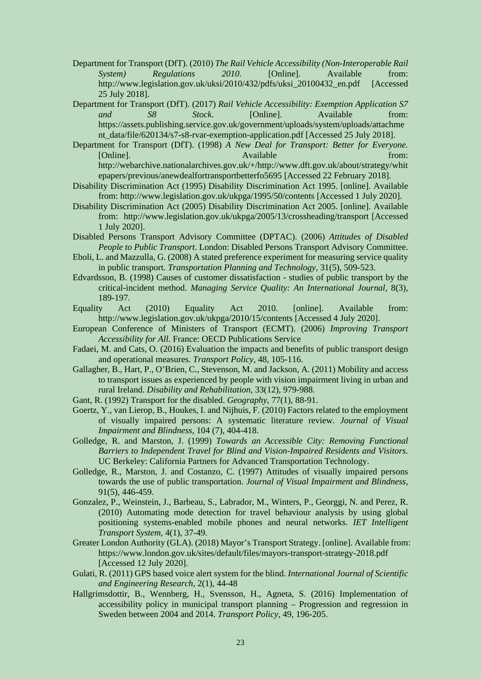- Department for Transport (DfT). (2010) *The Rail Vehicle Accessibility (Non-Interoperable Rail System*) Regulations 2010. [Online]. Available from: [http://www.legislation.gov.uk/uksi/2010/432/pdfs/uksi\\_20100432\\_en.pdf](http://www.legislation.gov.uk/uksi/2010/432/pdfs/uksi_20100432_en.pdf) [Accessed 25 July 2018].
- Department for Transport (DfT). (2017) *Rail Vehicle Accessibility: Exemption Application S7 and S8 Stock*. [Online]. Available from: [https://assets.publishing.service.gov.uk/government/uploads/system/uploads/attachme](https://assets.publishing.service.gov.uk/government/uploads/system/uploads/attachment_data/file/620134/s7-s8-rvar-exemption-application.pdf) [nt\\_data/file/620134/s7-s8-rvar-exemption-application.pdf](https://assets.publishing.service.gov.uk/government/uploads/system/uploads/attachment_data/file/620134/s7-s8-rvar-exemption-application.pdf) [Accessed 25 July 2018].
- Department for Transport (DfT). (1998) *A New Deal for Transport: Better for Everyone.*  [Online]. The contract of the contract of the Available from: the from: the from: [http://webarchive.nationalarchives.gov.uk/+/http://www.dft.gov.uk/about/strategy/whit](http://webarchive.nationalarchives.gov.uk/+/http://www.dft.gov.uk/about/strategy/whitepapers/previous/anewdealfortransportbetterfo5695) [epapers/previous/anewdealfortransportbetterfo5695](http://webarchive.nationalarchives.gov.uk/+/http://www.dft.gov.uk/about/strategy/whitepapers/previous/anewdealfortransportbetterfo5695) [Accessed 22 February 2018].
- Disability Discrimination Act (1995) Disability Discrimination Act 1995. [online]. Available from: http://www.legislation.gov.uk/ukpga/1995/50/contents [Accessed 1 July 2020].
- Disability Discrimination Act (2005) Disability Discrimination Act 2005. [online]. Available from: http://www.legislation.gov.uk/ukpga/2005/13/crossheading/transport [Accessed 1 July 2020].
- Disabled Persons Transport Advisory Committee (DPTAC). (2006) *Attitudes of Disabled People to Public Transport*. London: Disabled Persons Transport Advisory Committee.
- Eboli, L. and Mazzulla, G. (2008) A stated preference experiment for measuring service quality in public transport. *Transportation Planning and Technology,* 31(5), 509-523.
- Edvardsson, B. (1998) Causes of customer dissatisfaction studies of public transport by the critical-incident method. *Managing Service Quality: An International Journal,* 8(3), 189-197.
- Equality Act (2010) Equality Act 2010. [online]. Available from: http://www.legislation.gov.uk/ukpga/2010/15/contents [Accessed 4 July 2020].
- European Conference of Ministers of Transport (ECMT). (2006) *Improving Transport Accessibility for All.* France: OECD Publications Service
- Fadaei, M. and Cats, O. (2016) Evaluation the impacts and benefits of public transport design and operational measures. *Transport Policy*, 48, 105-116.
- Gallagher, B., Hart, P., O'Brien, C., Stevenson, M. and Jackson, A. (2011) Mobility and access to transport issues as experienced by people with vision impairment living in urban and rural Ireland. *Disability and Rehabilitation,* 33(12), 979-988.
- Gant, R. (1992) Transport for the disabled. *Geography,* 77(1), 88-91.
- Goertz, Y., van Lierop, B., Houkes, I. and Nijhuis, F. (2010) Factors related to the employment of visually impaired persons: A systematic literature review. *Journal of Visual Impairment and Blindness,* 104 (7), 404-418.
- Golledge, R. and Marston, J. (1999) *Towards an Accessible City: Removing Functional Barriers to Independent Travel for Blind and Vision-Impaired Residents and Visitors.* UC Berkeley: California Partners for Advanced Transportation Technology.
- Golledge, R., Marston, J. and Costanzo, C. (1997) Attitudes of visually impaired persons towards the use of public transportation. *Journal of Visual Impairment and Blindness,* 91(5), 446-459.
- Gonzalez, P., Weinstein, J., Barbeau, S., Labrador, M., Winters, P., Georggi, N. and Perez, R. (2010) Automating mode detection for travel behaviour analysis by using global positioning systems-enabled mobile phones and neural networks. *IET Intelligent Transport System*, 4(1), 37-49.
- Greater London Authority (GLA). (2018) Mayor's Transport Strategy. [online]. Available from: https://www.london.gov.uk/sites/default/files/mayors-transport-strategy-2018.pdf [Accessed 12 July 2020].
- Gulati, R. (2011) GPS based voice alert system for the blind. *International Journal of Scientific and Engineering Research*, 2(1), 44-48
- Hallgrimsdottir, B., Wennberg, H., Svensson, H., Agneta, S. (2016) Implementation of accessibility policy in municipal transport planning – Progression and regression in Sweden between 2004 and 2014. *Transport Policy,* 49, 196-205.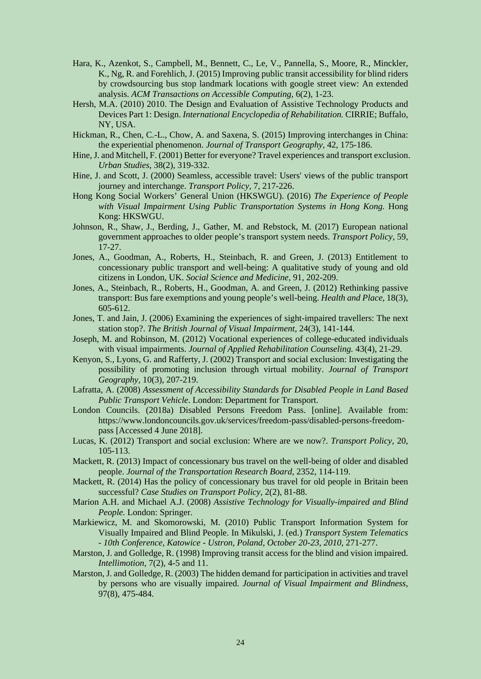- Hara, K., Azenkot, S., Campbell, M., Bennett, C., Le, V., Pannella, S., Moore, R., Minckler, K., Ng, R. and Forehlich, J. (2015) Improving public transit accessibility for blind riders by crowdsourcing bus stop landmark locations with google street view: An extended analysis. *ACM Transactions on Accessible Computing,* 6(2), 1-23.
- Hersh, M.A. (2010) 2010. The Design and Evaluation of Assistive Technology Products and Devices Part 1: Design. *International Encyclopedia of Rehabilitation.* CIRRIE; Buffalo, NY, USA.
- Hickman, R., Chen, C.-L., Chow, A. and Saxena, S. (2015) Improving interchanges in China: the experiential phenomenon. *Journal of Transport Geography*, 42, 175-186.
- Hine, J. and Mitchell, F. (2001) Better for everyone? Travel experiences and transport exclusion. *Urban Studies,* 38(2), 319-332.
- Hine, J. and Scott, J. (2000) Seamless, accessible travel: Users' views of the public transport journey and interchange. *Transport Policy,* 7, 217-226.
- Hong Kong Social Workers' General Union (HKSWGU). (2016) *The Experience of People with Visual Impairment Using Public Transportation Systems in Hong Kong.* Hong Kong: HKSWGU.
- Johnson, R., Shaw, J., Berding, J., Gather, M. and Rebstock, M. (2017) European national government approaches to older people's transport system needs. *Transport Policy*, 59, 17-27.
- Jones, A., Goodman, A., Roberts, H., Steinbach, R. and Green, J. (2013) Entitlement to concessionary public transport and well-being: A qualitative study of young and old citizens in London, UK. *Social Science and Medicine*, 91, 202-209.
- Jones, A., Steinbach, R., Roberts, H., Goodman, A. and Green, J. (2012) Rethinking passive transport: Bus fare exemptions and young people's well-being. *Health and Place*, 18(3), 605-612.
- Jones, T. and Jain, J. (2006) Examining the experiences of sight-impaired travellers: The next station stop?. *The British Journal of Visual Impairment,* 24(3), 141-144.
- Joseph, M. and Robinson, M. (2012) Vocational experiences of college-educated individuals with visual impairments. *Journal of Applied Rehabilitation Counseling.* 43(4), 21-29.
- Kenyon, S., Lyons, G. and Rafferty, J. (2002) Transport and social exclusion: Investigating the possibility of promoting inclusion through virtual mobility. *Journal of Transport Geography,* 10(3), 207-219.
- Lafratta, A. (2008) *Assessment of Accessibility Standards for Disabled People in Land Based Public Transport Vehicle*. London: Department for Transport.
- London Councils. (2018a) Disabled Persons Freedom Pass. [online]. Available from: [https://www.londoncouncils.gov.uk/services/freedom-pass/disabled-persons-freedom](https://www.londoncouncils.gov.uk/services/freedom-pass/disabled-persons-freedom-pass)[pass](https://www.londoncouncils.gov.uk/services/freedom-pass/disabled-persons-freedom-pass) [Accessed 4 June 2018].
- Lucas, K. (2012) Transport and social exclusion: Where are we now?. *Transport Policy,* 20, 105-113.
- Mackett, R. (2013) Impact of concessionary bus travel on the well-being of older and disabled people. *Journal of the Transportation Research Board*, 2352, 114-119.
- Mackett, R. (2014) Has the policy of concessionary bus travel for old people in Britain been successful? *Case Studies on Transport Policy*, 2(2), 81-88.
- Marion A.H. and Michael A.J. (2008) *Assistive Technology for Visually-impaired and Blind People.* London: Springer.
- Markiewicz, M. and Skomorowski, M. (2010) Public Transport Information System for Visually Impaired and Blind People. In Mikulski, J. (ed.) *Transport System Telematics - 10th Conference, Katowice - Ustron, Poland, October 20-23, 2010,* 271-277.
- Marston, J. and Golledge, R. (1998) Improving transit access for the blind and vision impaired. *Intellimotion*, 7(2), 4-5 and 11.
- Marston, J. and Golledge, R. (2003) The hidden demand for participation in activities and travel by persons who are visually impaired. *Journal of Visual Impairment and Blindness,* 97(8), 475-484.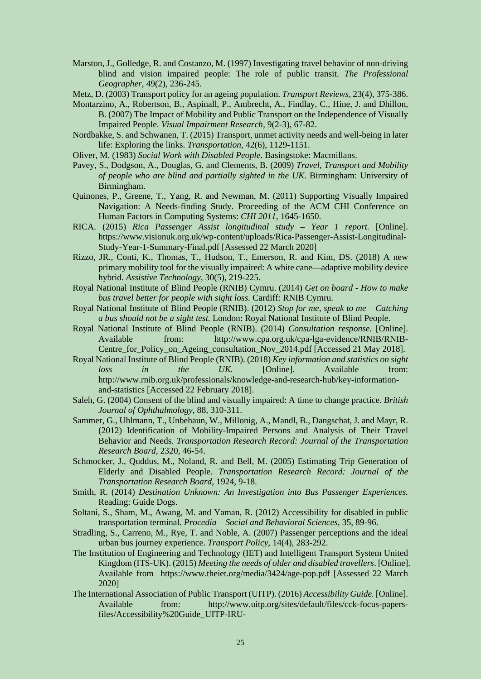- Marston, J., Golledge, R. and Costanzo, M. (1997) Investigating travel behavior of non-driving blind and vision impaired people: The role of public transit. *The Professional Geographer*, 49(2), 236-245.
- Metz, D. (2003) Transport policy for an ageing population. *Transport Reviews,* 23(4), 375-386.
- Montarzino, A., Robertson, B., Aspinall, P., Ambrecht, A., Findlay, C., Hine, J. and Dhillon, B. (2007) The Impact of Mobility and Public Transport on the Independence of Visually Impaired People. *Visual Impairment Research,* 9(2-3), 67-82.
- Nordbakke, S. and Schwanen, T. (2015) Transport, unmet activity needs and well-being in later life: Exploring the links. *Transportation*, 42(6), 1129-1151.
- Oliver, M. (1983) *Social Work with Disabled People*. Basingstoke: Macmillans.
- Pavey, S., Dodgson, A., Douglas, G. and Clements, B. (2009) *Travel, Transport and Mobility of people who are blind and partially sighted in the UK*. Birmingham: University of Birmingham.
- Quinones, P., Greene, T., Yang, R. and Newman, M. (2011) Supporting Visually Impaired Navigation: A Needs-finding Study. Proceeding of the ACM CHI Conference on Human Factors in Computing Systems: *CHI 2011*, 1645-1650.
- RICA. (2015) *Rica Passenger Assist longitudinal study Year 1 report.* [Online]. https://www.visionuk.org.uk/wp-content/uploads/Rica-Passenger-Assist-Longitudinal-Study-Year-1-Summary-Final.pdf [Assessed 22 March 2020]
- Rizzo, JR., Conti, K., Thomas, T., Hudson, T., Emerson, R. and Kim, DS. (2018) A new primary mobility tool for the visually impaired: A white cane—adaptive mobility device hybrid. *Assistive Technology*, 30(5), 219-225.
- Royal National Institute of Blind People (RNIB) Cymru. (2014) *Get on board How to make bus travel better for people with sight loss.* Cardiff: RNIB Cymru.
- Royal National Institute of Blind People (RNIB). (2012) *Stop for me, speak to me Catching a bus should not be a sight test.* London: Royal National Institute of Blind People.
- Royal National Institute of Blind People (RNIB). (2014) *Consultation response.* [Online]. Available from: [http://www.cpa.org.uk/cpa-lga-evidence/RNIB/RNIB-](http://www.cpa.org.uk/cpa-lga-evidence/RNIB/RNIB-Centre_for_Policy_on_Ageing_consultation_Nov_2014.pdf)[Centre\\_for\\_Policy\\_on\\_Ageing\\_consultation\\_Nov\\_2014.pdf](http://www.cpa.org.uk/cpa-lga-evidence/RNIB/RNIB-Centre_for_Policy_on_Ageing_consultation_Nov_2014.pdf) [Accessed 21 May 2018].
- Royal National Institute of Blind People (RNIB). (2018) *Key information and statistics on sight loss in the UK.* [Online]. Available from: [http://www.rnib.org.uk/professionals/knowledge-and-research-hub/key-information](http://www.rnib.org.uk/professionals/knowledge-and-research-hub/key-information-and-statistics)[and-statistics](http://www.rnib.org.uk/professionals/knowledge-and-research-hub/key-information-and-statistics) [Accessed 22 February 2018].
- Saleh, G. (2004) Consent of the blind and visually impaired: A time to change practice. *British Journal of Ophthalmology*, 88, 310-311.
- Sammer, G., Uhlmann, T., Unbehaun, W., Millonig, A., Mandl, B., Dangschat, J. and Mayr, R. (2012) Identification of Mobility-Impaired Persons and Analysis of Their Travel Behavior and Needs. *Transportation Research Record: Journal of the Transportation Research Board,* 2320, 46-54.
- Schmocker, J., Quddus, M., Noland, R. and Bell, M. (2005) Estimating Trip Generation of Elderly and Disabled People. *Transportation Research Record: Journal of the Transportation Research Board,* 1924, 9-18.
- Smith, R. (2014) *Destination Unknown: An Investigation into Bus Passenger Experiences.*  Reading: Guide Dogs.
- Soltani, S., Sham, M., Awang, M. and Yaman, R. (2012) Accessibility for disabled in public transportation terminal. *Procedia – Social and Behavioral Sciences,* 35, 89-96.
- Stradling, S., Carreno, M., Rye, T. and Noble, A. (2007) Passenger perceptions and the ideal urban bus journey experience. *Transport Policy,* 14(4), 283-292.
- The Institution of Engineering and Technology (IET) and Intelligent Transport System United Kingdom (ITS-UK). (2015) *Meeting the needs of older and disabled travellers*. [Online]. Available from https://www.theiet.org/media/3424/age-pop.pdf [Assessed 22 March 2020]
- The International Association of Public Transport (UITP). (2016) *Accessibility Guide.* [Online]. Available from: [http://www.uitp.org/sites/default/files/cck-focus-papers](http://www.uitp.org/sites/default/files/cck-focus-papers-files/Accessibility%20Guide_UITP-IRU-EDF_2016.pdf.pdf)[files/Accessibility%20Guide\\_UITP-IRU-](http://www.uitp.org/sites/default/files/cck-focus-papers-files/Accessibility%20Guide_UITP-IRU-EDF_2016.pdf.pdf)